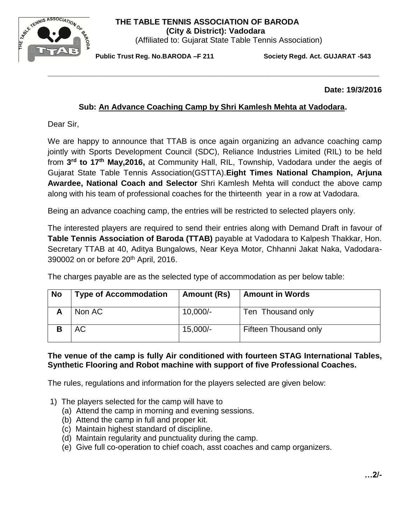# **THE TABLE TENNIS ASSOCIATION OF BARODA**



 **(City & District): Vadodara** (Affiliated to: Gujarat State Table Tennis Association)

**Public Trust Reg. No.BARODA –F 211 Society Regd. Act. GUJARAT -543**

**Date: 19/3/2016**

## **Sub: An Advance Coaching Camp by Shri Kamlesh Mehta at Vadodara.**

**\_\_\_\_\_\_\_\_\_\_\_\_\_\_\_\_\_\_\_\_\_\_\_\_\_\_\_\_\_\_\_\_\_\_\_\_\_\_\_\_\_\_\_\_\_\_\_\_\_\_\_\_\_\_\_\_\_\_\_\_\_\_\_\_\_\_\_\_\_\_\_\_\_\_\_**

Dear Sir,

We are happy to announce that TTAB is once again organizing an advance coaching camp jointly with Sports Development Council (SDC), Reliance Industries Limited (RIL) to be held from 3<sup>rd</sup> to 17<sup>th</sup> May,2016, at Community Hall, RIL, Township, Vadodara under the aegis of Gujarat State Table Tennis Association(GSTTA).**Eight Times National Champion, Arjuna Awardee, National Coach and Selector** Shri Kamlesh Mehta will conduct the above camp along with his team of professional coaches for the thirteenth year in a row at Vadodara.

Being an advance coaching camp, the entries will be restricted to selected players only.

The interested players are required to send their entries along with Demand Draft in favour of **Table Tennis Association of Baroda (TTAB)** payable at Vadodara to Kalpesh Thakkar, Hon. Secretary TTAB at 40, Aditya Bungalows, Near Keya Motor, Chhanni Jakat Naka, Vadodara-390002 on or before 20th April, 2016.

The charges payable are as the selected type of accommodation as per below table:

| <b>No</b> | <b>Type of Accommodation</b> | Amount (Rs) | <b>Amount in Words</b> |
|-----------|------------------------------|-------------|------------------------|
|           | Non AC                       | $10,000/-$  | Ten Thousand only      |
|           | АC                           | $15,000/-$  | Fifteen Thousand only  |

### **The venue of the camp is fully Air conditioned with fourteen STAG International Tables, Synthetic Flooring and Robot machine with support of five Professional Coaches.**

The rules, regulations and information for the players selected are given below:

- 1) The players selected for the camp will have to
	- (a) Attend the camp in morning and evening sessions.
	- (b) Attend the camp in full and proper kit.
	- (c) Maintain highest standard of discipline.
	- (d) Maintain regularity and punctuality during the camp.
	- (e) Give full co-operation to chief coach, asst coaches and camp organizers.